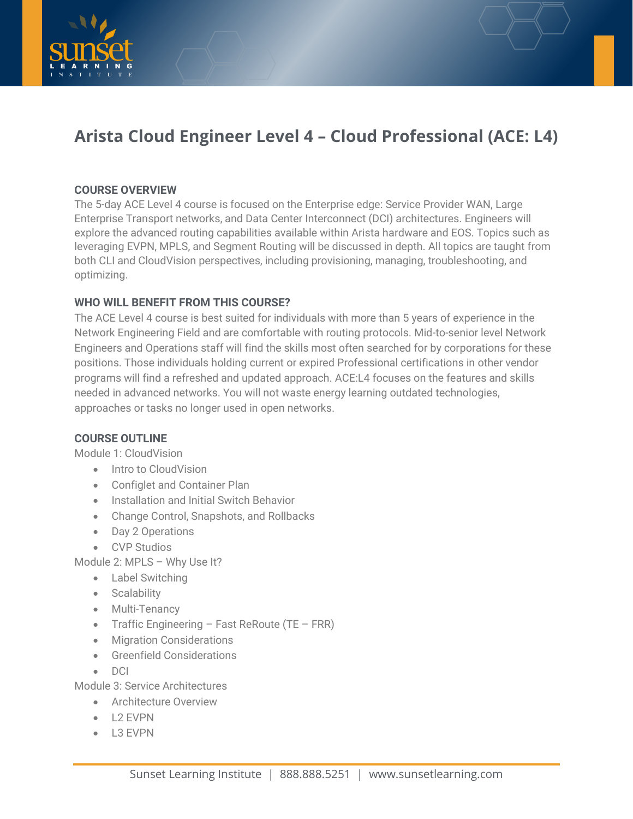



# **Arista Cloud Engineer Level 4 – Cloud Professional (ACE: L4)**

## **COURSE OVERVIEW**

The 5-day ACE Level 4 course is focused on the Enterprise edge: Service Provider WAN, Large Enterprise Transport networks, and Data Center Interconnect (DCI) architectures. Engineers will explore the advanced routing capabilities available within Arista hardware and EOS. Topics such as leveraging EVPN, MPLS, and Segment Routing will be discussed in depth. All topics are taught from both CLI and CloudVision perspectives, including provisioning, managing, troubleshooting, and optimizing.

## **WHO WILL BENEFIT FROM THIS COURSE?**

The ACE Level 4 course is best suited for individuals with more than 5 years of experience in the Network Engineering Field and are comfortable with routing protocols. Mid-to-senior level Network Engineers and Operations staff will find the skills most often searched for by corporations for these positions. Those individuals holding current or expired Professional certifications in other vendor programs will find a refreshed and updated approach. ACE:L4 focuses on the features and skills needed in advanced networks. You will not waste energy learning outdated technologies, approaches or tasks no longer used in open networks.

### **COURSE OUTLINE**

Module 1: CloudVision

- Intro to CloudVision
- Configlet and Container Plan
- Installation and Initial Switch Behavior
- Change Control, Snapshots, and Rollbacks
- Day 2 Operations
- CVP Studios

Module 2: MPLS – Why Use It?

- Label Switching
- Scalability
- Multi-Tenancy
- Traffic Engineering Fast ReRoute (TE FRR)
- Migration Considerations
- Greenfield Considerations
- DCI

Module 3: Service Architectures

- Architecture Overview
- L2 EVPN
- L3 EVPN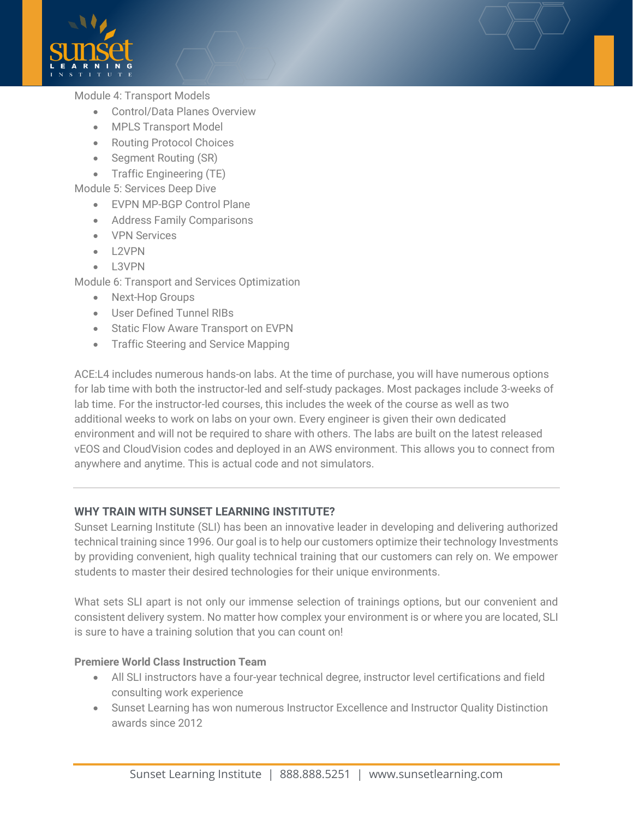

#### Module 4: Transport Models

- Control/Data Planes Overview
- MPLS Transport Model
- Routing Protocol Choices
- Segment Routing (SR)
- Traffic Engineering (TE)

Module 5: Services Deep Dive

- EVPN MP-BGP Control Plane
- Address Family Comparisons
- VPN Services
- L2VPN
- L3VPN

Module 6: Transport and Services Optimization

- Next-Hop Groups
- User Defined Tunnel RIBs
- Static Flow Aware Transport on EVPN
- Traffic Steering and Service Mapping

ACE:L4 includes numerous hands-on labs. At the time of purchase, you will have numerous options for lab time with both the instructor-led and self-study packages. Most packages include 3-weeks of lab time. For the instructor-led courses, this includes the week of the course as well as two additional weeks to work on labs on your own. Every engineer is given their own dedicated environment and will not be required to share with others. The labs are built on the latest released vEOS and CloudVision codes and deployed in an AWS environment. This allows you to connect from anywhere and anytime. This is actual code and not simulators.

#### **WHY TRAIN WITH SUNSET LEARNING INSTITUTE?**

Sunset Learning Institute (SLI) has been an innovative leader in developing and delivering authorized technical training since 1996. Our goal is to help our customers optimize their technology Investments by providing convenient, high quality technical training that our customers can rely on. We empower students to master their desired technologies for their unique environments.

What sets SLI apart is not only our immense selection of trainings options, but our convenient and consistent delivery system. No matter how complex your environment is or where you are located, SLI is sure to have a training solution that you can count on!

#### **Premiere World Class Instruction Team**

- All SLI instructors have a four-year technical degree, instructor level certifications and field consulting work experience
- Sunset Learning has won numerous Instructor Excellence and Instructor Quality Distinction awards since 2012